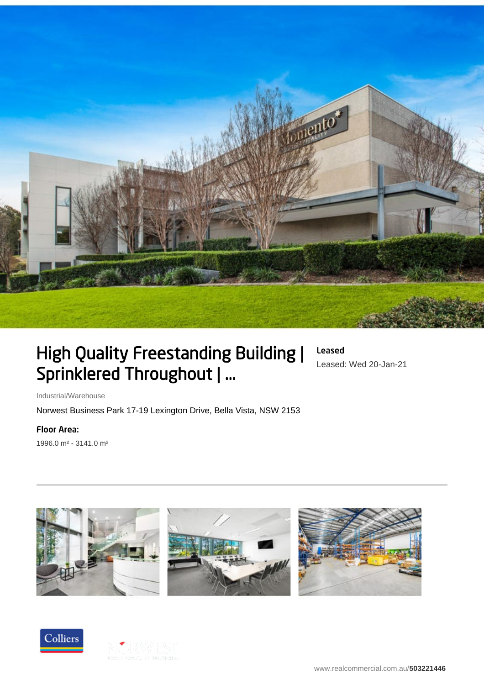

# High Quality Freestanding Building | Sprinklered Throughout | ...

Leased Leased: Wed 20-Jan-21

Industrial/Warehouse

Norwest Business Park 17-19 Lexington Drive, Bella Vista, NSW 2153

Floor Area:

1996.0 m² - 3141.0 m²